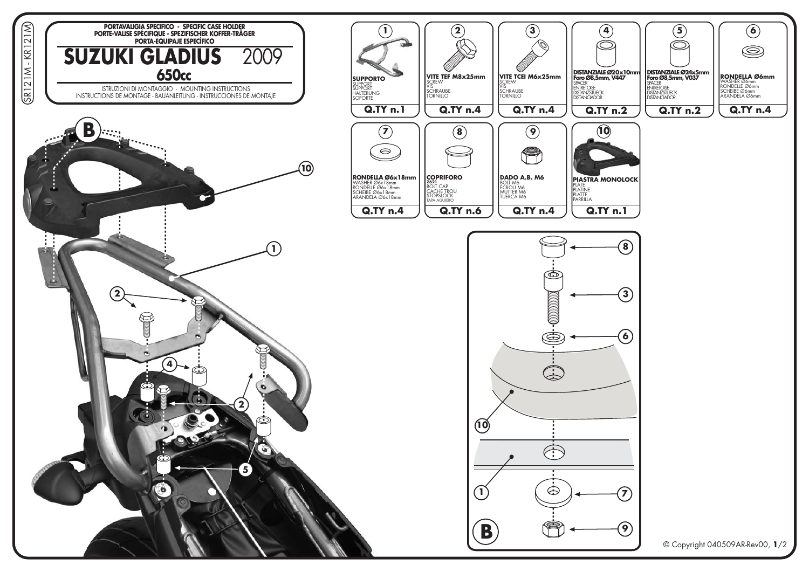

© Copyright 040509AR-Rev00, 1/2

 $\left(5\right)$ 

 $\bigcirc$ 

 $\bigcirc$ 

 $\circledcirc$ 

**RONDELLA Ø6mm** 

**Q.TY n.4** 

**RONDELLA SON**<br>WASHER Ø6mm<br>RONDELLE Ø6mm<br>SCHEIBE Ø6mm<br>ARANDELA Ø6mm